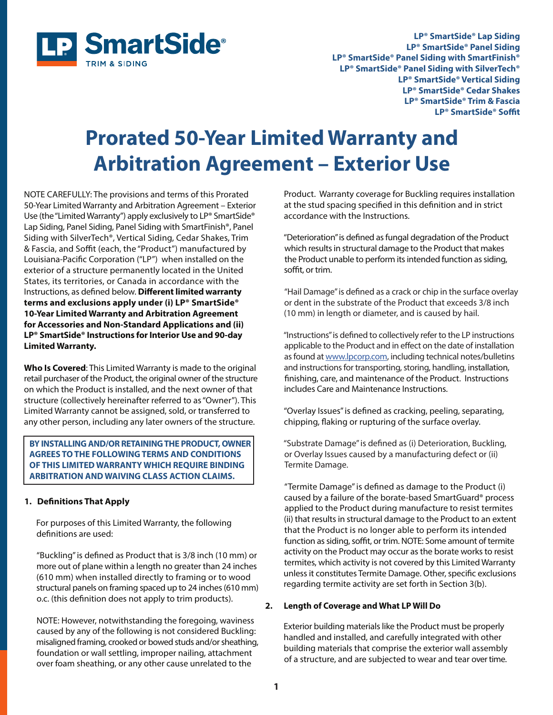

**LP® SmartSide® Lap Siding LP® SmartSide® Panel Siding LP® SmartSide® Panel Siding with SmartFinish® LP® SmartSide® Panel Siding with SilverTech® LP® SmartSide® Vertical Siding LP® SmartSide® Cedar Shakes LP® SmartSide® Trim & Fascia**  LP<sup>®</sup> SmartSide<sup>®</sup> Soffit

# **Prorated 50-Year Limited Warranty and Arbitration Agreement – Exterior Use**

NOTE CAREFULLY: The provisions and terms of this Prorated 50-Year Limited Warranty and Arbitration Agreement – Exterior Use (the "Limited Warranty") apply exclusively to LP® SmartSide® Lap Siding, Panel Siding, Panel Siding with SmartFinish®, Panel Siding with SilverTech®, Vertical Siding, Cedar Shakes, Trim & Fascia, and Soffit (each, the "Product") manufactured by Louisiana-Pacific Corporation ("LP") when installed on the exterior of a structure permanently located in the United States, its territories, or Canada in accordance with the Instructions, as defined below. Different limited warranty **terms and exclusions apply under (i) LP® SmartSide® 10-Year Limited Warranty and Arbitration Agreement for Accessories and Non-Standard Applications and (ii) LP® SmartSide® Instructions for Interior Use and 90-day Limited Warranty.** 

**Who Is Covered**: This Limited Warranty is made to the original retail purchaser of the Product, the original owner of the structure on which the Product is installed, and the next owner of that structure (collectively hereinafter referred to as "Owner"). This Limited Warranty cannot be assigned, sold, or transferred to any other person, including any later owners of the structure.

 **BY INSTALLING AND/OR RETAINING THE PRODUCT, OWNER AGREES TO THE FOLLOWING TERMS AND CONDITIONS OF THIS LIMITED WARRANTY WHICH REQUIRE BINDING ARBITRATION AND WAIVING CLASS ACTION CLAIMS.**

#### **1. Definitions That Apply**

֦

 For purposes of this Limited Warranty, the following definitions are used:

"Buckling" is defined as Product that is 3/8 inch (10 mm) or more out of plane within a length no greater than 24 inches (610 mm) when installed directly to framing or to wood structural panels on framing spaced up to 24 inches (610 mm) o.c. (this definition does not apply to trim products).

 NOTE: However, notwithstanding the foregoing, waviness caused by any of the following is not considered Buckling: misaligned framing, crooked or bowed studs and/or sheathing, foundation or wall settling, improper nailing, attachment over foam sheathing, or any other cause unrelated to the

 Product. Warranty coverage for Buckling requires installation at the stud spacing specified in this definition and in strict accordance with the Instructions.

"Deterioration" is defined as fungal degradation of the Product which results in structural damage to the Product that makes the Product unable to perform its intended function as siding, soffit, or trim.

"Hail Damage" is defined as a crack or chip in the surface overlay or dent in the substrate of the Product that exceeds 3/8 inch (10 mm) in length or diameter, and is caused by hail.

"Instructions" is defined to collectively refer to the LP instructions applicable to the Product and in effect on the date of installation as found at www.lpcorp.com, including technical notes/bulletins and instructions for transporting, storing, handling, installation, finishing, care, and maintenance of the Product. Instructions includes Care and Maintenance Instructions.

"Overlay Issues" is defined as cracking, peeling, separating, chipping, flaking or rupturing of the surface overlay.

"Substrate Damage" is defined as (i) Deterioration, Buckling, or Overlay Issues caused by a manufacturing defect or (ii) Termite Damage.

"Termite Damage" is defined as damage to the Product (i) caused by a failure of the borate-based SmartGuard® process applied to the Product during manufacture to resist termites (ii) that results in structural damage to the Product to an extent that the Product is no longer able to perform its intended function as siding, soffit, or trim. NOTE: Some amount of termite activity on the Product may occur as the borate works to resist termites, which activity is not covered by this Limited Warranty unless it constitutes Termite Damage. Other, specific exclusions regarding termite activity are set forth in Section 3(b).

#### **2. Length of Coverage and What LP Will Do**

 Exterior building materials like the Product must be properly handled and installed, and carefully integrated with other building materials that comprise the exterior wall assembly of a structure, and are subjected to wear and tear over time.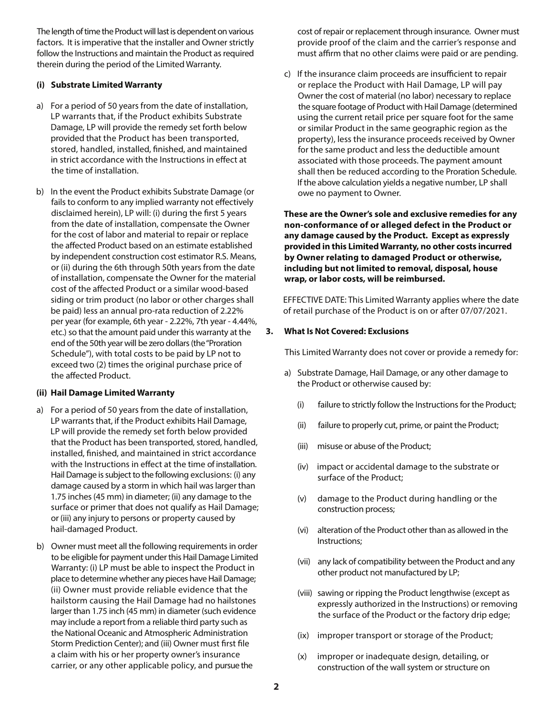The length of time the Product will last is dependent on various factors. It is imperative that the installer and Owner strictly follow the Instructions and maintain the Product as required therein during the period of the Limited Warranty.

#### **(i) Substrate Limited Warranty**

- a) For a period of 50 years from the date of installation, LP warrants that, if the Product exhibits Substrate Damage, LP will provide the remedy set forth below provided that the Product has been transported, stored, handled, installed, finished, and maintained in strict accordance with the Instructions in effect at the time of installation.
- b) In the event the Product exhibits Substrate Damage (or fails to conform to any implied warranty not effectively disclaimed herein), LP will: (i) during the first 5 years from the date of installation, compensate the Owner for the cost of labor and material to repair or replace the affected Product based on an estimate established by independent construction cost estimator R.S. Means, or (ii) during the 6th through 50th years from the date of installation, compensate the Owner for the material cost of the affected Product or a similar wood-based siding or trim product (no labor or other charges shall be paid) less an annual pro-rata reduction of 2.22% per year (for example, 6th year - 2.22%, 7th year - 4.44%, etc.) so that the amount paid under this warranty at the end of the 50th year will be zero dollars (the "Proration Schedule"), with total costs to be paid by LP not to exceed two (2) times the original purchase price of the affected Product.

# **(ii) Hail Damage Limited Warranty**

- a) For a period of 50 years from the date of installation, LP warrants that, if the Product exhibits Hail Damage, LP will provide the remedy set forth below provided that the Product has been transported, stored, handled, installed, finished, and maintained in strict accordance with the Instructions in effect at the time of installation. Hail Damage is subject to the following exclusions: (i) any damage caused by a storm in which hail was larger than 1.75 inches (45 mm) in diameter; (ii) any damage to the surface or primer that does not qualify as Hail Damage; or (iii) any injury to persons or property caused by hail-damaged Product.
- b) Owner must meet all the following requirements in order to be eligible for payment under this Hail Damage Limited Warranty: (i) LP must be able to inspect the Product in place to determine whether any pieces have Hail Damage; (ii) Owner must provide reliable evidence that the hailstorm causing the Hail Damage had no hailstones larger than 1.75 inch (45 mm) in diameter (such evidence may include a report from a reliable third party such as the National Oceanic and Atmospheric Administration Storm Prediction Center); and (iii) Owner must first file a claim with his or her property owner's insurance carrier, or any other applicable policy, and pursue the

 cost of repair or replacement through insurance. Owner must provide proof of the claim and the carrier's response and must affirm that no other claims were paid or are pending.

c) If the insurance claim proceeds are insufficient to repair or replace the Product with Hail Damage, LP will pay Owner the cost of material (no labor) necessary to replace the square footage of Product with Hail Damage (determined using the current retail price per square foot for the same or similar Product in the same geographic region as the property), less the insurance proceeds received by Owner for the same product and less the deductible amount associated with those proceeds. The payment amount shall then be reduced according to the Proration Schedule. If the above calculation yields a negative number, LP shall owe no payment to Owner.

 **These are the Owner's sole and exclusive remedies for any non-conformance of or alleged defect in the Product or any damage caused by the Product. Except as expressly provided in this Limited Warranty, no other costs incurred by Owner relating to damaged Product or otherwise, including but not limited to removal, disposal, house wrap, or labor costs, will be reimbursed.**

 EFFECTIVE DATE: This Limited Warranty applies where the date of retail purchase of the Product is on or after 07/07/2021.

## **3. What Is Not Covered: Exclusions**

This Limited Warranty does not cover or provide a remedy for:

- a) Substrate Damage, Hail Damage, or any other damage to the Product or otherwise caused by:
	- (i) failure to strictly follow the Instructions for the Product;
	- (ii) failure to properly cut, prime, or paint the Product;
	- (iii) misuse or abuse of the Product;
	- (iv) impact or accidental damage to the substrate or surface of the Product;
	- (v) damage to the Product during handling or the construction process;
	- (vi) alteration of the Product other than as allowed in the Instructions;
	- (vii) any lack of compatibility between the Product and any other product not manufactured by LP;
	- (viii) sawing or ripping the Product lengthwise (except as expressly authorized in the Instructions) or removing the surface of the Product or the factory drip edge;
	- (ix) improper transport or storage of the Product;
	- (x) improper or inadequate design, detailing, or construction of the wall system or structure on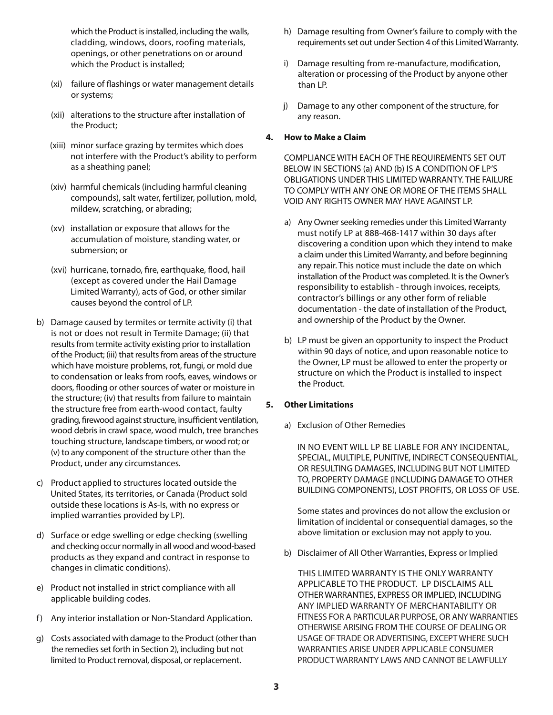which the Product is installed, including the walls, cladding, windows, doors, roofing materials, openings, or other penetrations on or around which the Product is installed;

- (xi) failure of flashings or water management details or systems;
- (xii) alterations to the structure after installation of the Product;
- (xiii) minor surface grazing by termites which does not interfere with the Product's ability to perform as a sheathing panel;
- (xiv) harmful chemicals (including harmful cleaning compounds), salt water, fertilizer, pollution, mold, mildew, scratching, or abrading;
- (xv) installation or exposure that allows for the accumulation of moisture, standing water, or submersion; or
- (xvi) hurricane, tornado, fire, earthquake, flood, hail (except as covered under the Hail Damage Limited Warranty), acts of God, or other similar causes beyond the control of LP.
- b) Damage caused by termites or termite activity (i) that is not or does not result in Termite Damage; (ii) that results from termite activity existing prior to installation of the Product; (iii) that results from areas of the structure which have moisture problems, rot, fungi, or mold due to condensation or leaks from roofs, eaves, windows or doors, flooding or other sources of water or moisture in the structure; (iv) that results from failure to maintain the structure free from earth-wood contact, faulty grading, firewood against structure, insufficient ventilation, wood debris in crawl space, wood mulch, tree branches touching structure, landscape timbers, or wood rot; or (v) to any component of the structure other than the Product, under any circumstances.
- c) Product applied to structures located outside the United States, its territories, or Canada (Product sold outside these locations is As-Is, with no express or implied warranties provided by LP).
- d) Surface or edge swelling or edge checking (swelling and checking occur normally in all wood and wood-based products as they expand and contract in response to changes in climatic conditions).
- e) Product not installed in strict compliance with all applicable building codes.
- f) Any interior installation or Non-Standard Application.
- g) Costs associated with damage to the Product (other than the remedies set forth in Section 2), including but not limited to Product removal, disposal, or replacement.
- h) Damage resulting from Owner's failure to comply with the requirements set out under Section 4 of this Limited Warranty.
- i) Damage resulting from re-manufacture, modification, alteration or processing of the Product by anyone other than LP.
- j) Damage to any other component of the structure, for any reason.

#### **4. How to Make a Claim**

 COMPLIANCE WITH EACH OF THE REQUIREMENTS SET OUT BELOW IN SECTIONS (a) AND (b) IS A CONDITION OF LP'S OBLIGATIONS UNDER THIS LIMITED WARRANTY. THE FAILURE TO COMPLY WITH ANY ONE OR MORE OF THE ITEMS SHALL VOID ANY RIGHTS OWNER MAY HAVE AGAINST LP.

- a) Any Owner seeking remedies under this Limited Warranty must notify LP at 888-468-1417 within 30 days after discovering a condition upon which they intend to make a claim under this Limited Warranty, and before beginning any repair. This notice must include the date on which installation of the Product was completed. It is the Owner's responsibility to establish - through invoices, receipts, contractor's billings or any other form of reliable documentation - the date of installation of the Product, and ownership of the Product by the Owner.
- b) LP must be given an opportunity to inspect the Product within 90 days of notice, and upon reasonable notice to the Owner, LP must be allowed to enter the property or structure on which the Product is installed to inspect the Product.

#### **5. Other Limitations**

a) Exclusion of Other Remedies

 IN NO EVENT WILL LP BE LIABLE FOR ANY INCIDENTAL, SPECIAL, MULTIPLE, PUNITIVE, INDIRECT CONSEQUENTIAL, OR RESULTING DAMAGES, INCLUDING BUT NOT LIMITED TO, PROPERTY DAMAGE (INCLUDING DAMAGE TO OTHER BUILDING COMPONENTS), LOST PROFITS, OR LOSS OF USE.

 Some states and provinces do not allow the exclusion or limitation of incidental or consequential damages, so the above limitation or exclusion may not apply to you.

b) Disclaimer of All Other Warranties, Express or Implied

 THIS LIMITED WARRANTY IS THE ONLY WARRANTY APPLICABLE TO THE PRODUCT. LP DISCLAIMS ALL OTHER WARRANTIES, EXPRESS OR IMPLIED, INCLUDING ANY IMPLIED WARRANTY OF MERCHANTABILITY OR FITNESS FOR A PARTICULAR PURPOSE, OR ANY WARRANTIES OTHERWISE ARISING FROM THE COURSE OF DEALING OR USAGE OF TRADE OR ADVERTISING, EXCEPT WHERE SUCH WARRANTIES ARISE UNDER APPLICABLE CONSUMER PRODUCT WARRANTY LAWS AND CANNOT BE LAWFULLY